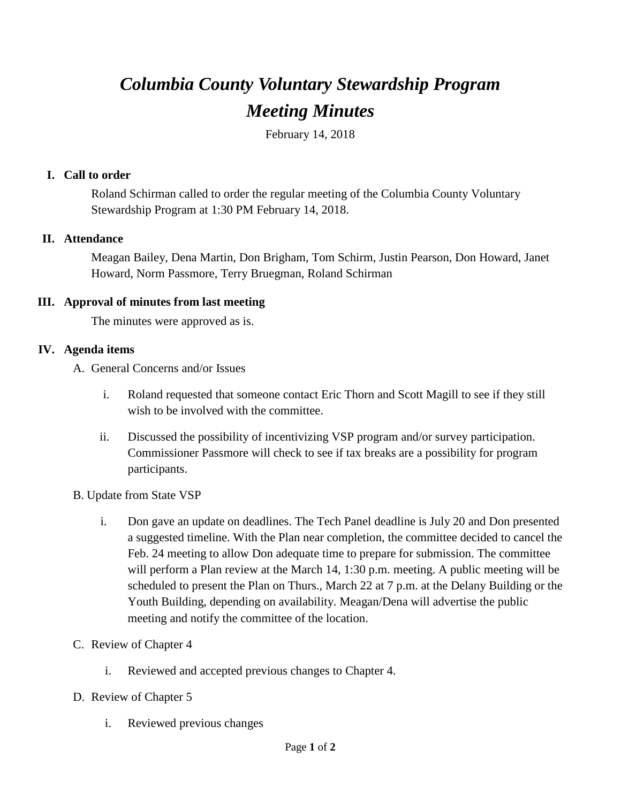# *Columbia County Voluntary Stewardship Program Meeting Minutes*

February 14, 2018

#### **I. Call to order**

Roland Schirman called to order the regular meeting of the Columbia County Voluntary Stewardship Program at 1:30 PM February 14, 2018.

## **II. Attendance**

Meagan Bailey, Dena Martin, Don Brigham, Tom Schirm, Justin Pearson, Don Howard, Janet Howard, Norm Passmore, Terry Bruegman, Roland Schirman

#### **III. Approval of minutes from last meeting**

The minutes were approved as is.

## **IV. Agenda items**

A. General Concerns and/or Issues

- i. Roland requested that someone contact Eric Thorn and Scott Magill to see if they still wish to be involved with the committee.
- ii. Discussed the possibility of incentivizing VSP program and/or survey participation. Commissioner Passmore will check to see if tax breaks are a possibility for program participants.
- B. Update from State VSP
	- i. Don gave an update on deadlines. The Tech Panel deadline is July 20 and Don presented a suggested timeline. With the Plan near completion, the committee decided to cancel the Feb. 24 meeting to allow Don adequate time to prepare for submission. The committee will perform a Plan review at the March 14, 1:30 p.m. meeting. A public meeting will be scheduled to present the Plan on Thurs., March 22 at 7 p.m. at the Delany Building or the Youth Building, depending on availability. Meagan/Dena will advertise the public meeting and notify the committee of the location.
- C. Review of Chapter 4
	- i. Reviewed and accepted previous changes to Chapter 4.
- D. Review of Chapter 5
	- i. Reviewed previous changes